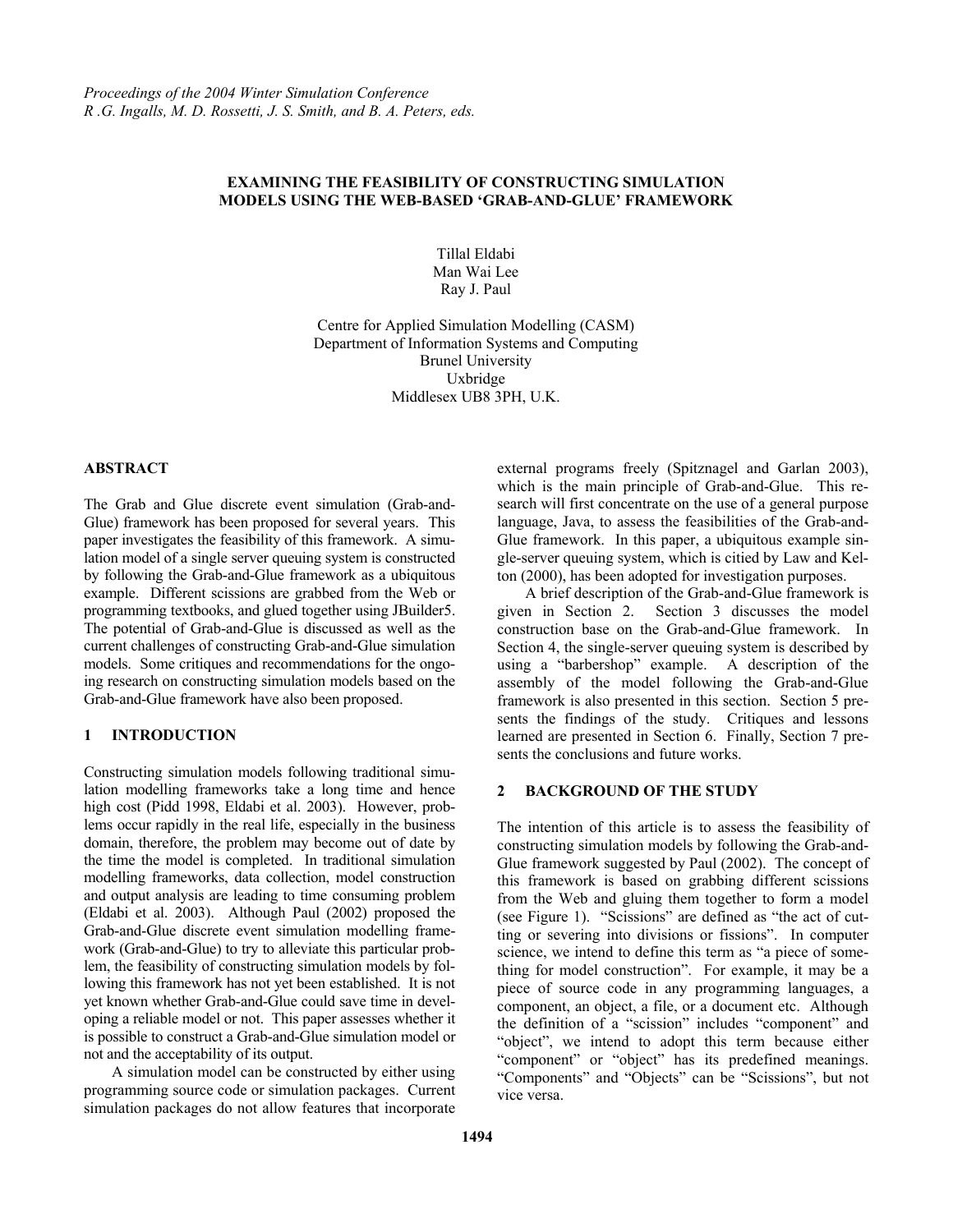# **EXAMINING THE FEASIBILITY OF CONSTRUCTING SIMULATION MODELS USING THE WEB-BASED 'GRAB-AND-GLUE' FRAMEWORK**

Tillal Eldabi Man Wai Lee Ray J. Paul

Centre for Applied Simulation Modelling (CASM) Department of Information Systems and Computing Brunel University Uxbridge Middlesex UB8 3PH, U.K.

## **ABSTRACT**

The Grab and Glue discrete event simulation (Grab-and-Glue) framework has been proposed for several years. This paper investigates the feasibility of this framework. A simulation model of a single server queuing system is constructed by following the Grab-and-Glue framework as a ubiquitous example. Different scissions are grabbed from the Web or programming textbooks, and glued together using JBuilder5. The potential of Grab-and-Glue is discussed as well as the current challenges of constructing Grab-and-Glue simulation models. Some critiques and recommendations for the ongoing research on constructing simulation models based on the Grab-and-Glue framework have also been proposed.

# **1 INTRODUCTION**

Constructing simulation models following traditional simulation modelling frameworks take a long time and hence high cost (Pidd 1998, Eldabi et al. 2003). However, problems occur rapidly in the real life, especially in the business domain, therefore, the problem may become out of date by the time the model is completed. In traditional simulation modelling frameworks, data collection, model construction and output analysis are leading to time consuming problem (Eldabi et al. 2003). Although Paul (2002) proposed the Grab-and-Glue discrete event simulation modelling framework (Grab-and-Glue) to try to alleviate this particular problem, the feasibility of constructing simulation models by following this framework has not yet been established. It is not yet known whether Grab-and-Glue could save time in developing a reliable model or not. This paper assesses whether it is possible to construct a Grab-and-Glue simulation model or not and the acceptability of its output.

A simulation model can be constructed by either using programming source code or simulation packages. Current simulation packages do not allow features that incorporate external programs freely (Spitznagel and Garlan 2003), which is the main principle of Grab-and-Glue. This research will first concentrate on the use of a general purpose language, Java, to assess the feasibilities of the Grab-and-Glue framework. In this paper, a ubiquitous example single-server queuing system, which is citied by Law and Kelton (2000), has been adopted for investigation purposes.

A brief description of the Grab-and-Glue framework is given in Section 2. Section 3 discusses the model construction base on the Grab-and-Glue framework. In Section 4, the single-server queuing system is described by using a "barbershop" example. A description of the assembly of the model following the Grab-and-Glue framework is also presented in this section. Section 5 presents the findings of the study. Critiques and lessons learned are presented in Section 6. Finally, Section 7 presents the conclusions and future works.

#### **2 BACKGROUND OF THE STUDY**

The intention of this article is to assess the feasibility of constructing simulation models by following the Grab-and-Glue framework suggested by Paul (2002). The concept of this framework is based on grabbing different scissions from the Web and gluing them together to form a model (see Figure 1). "Scissions" are defined as "the act of cutting or severing into divisions or fissions". In computer science, we intend to define this term as "a piece of something for model construction". For example, it may be a piece of source code in any programming languages, a component, an object, a file, or a document etc. Although the definition of a "scission" includes "component" and "object", we intend to adopt this term because either "component" or "object" has its predefined meanings. "Components" and "Objects" can be "Scissions", but not vice versa.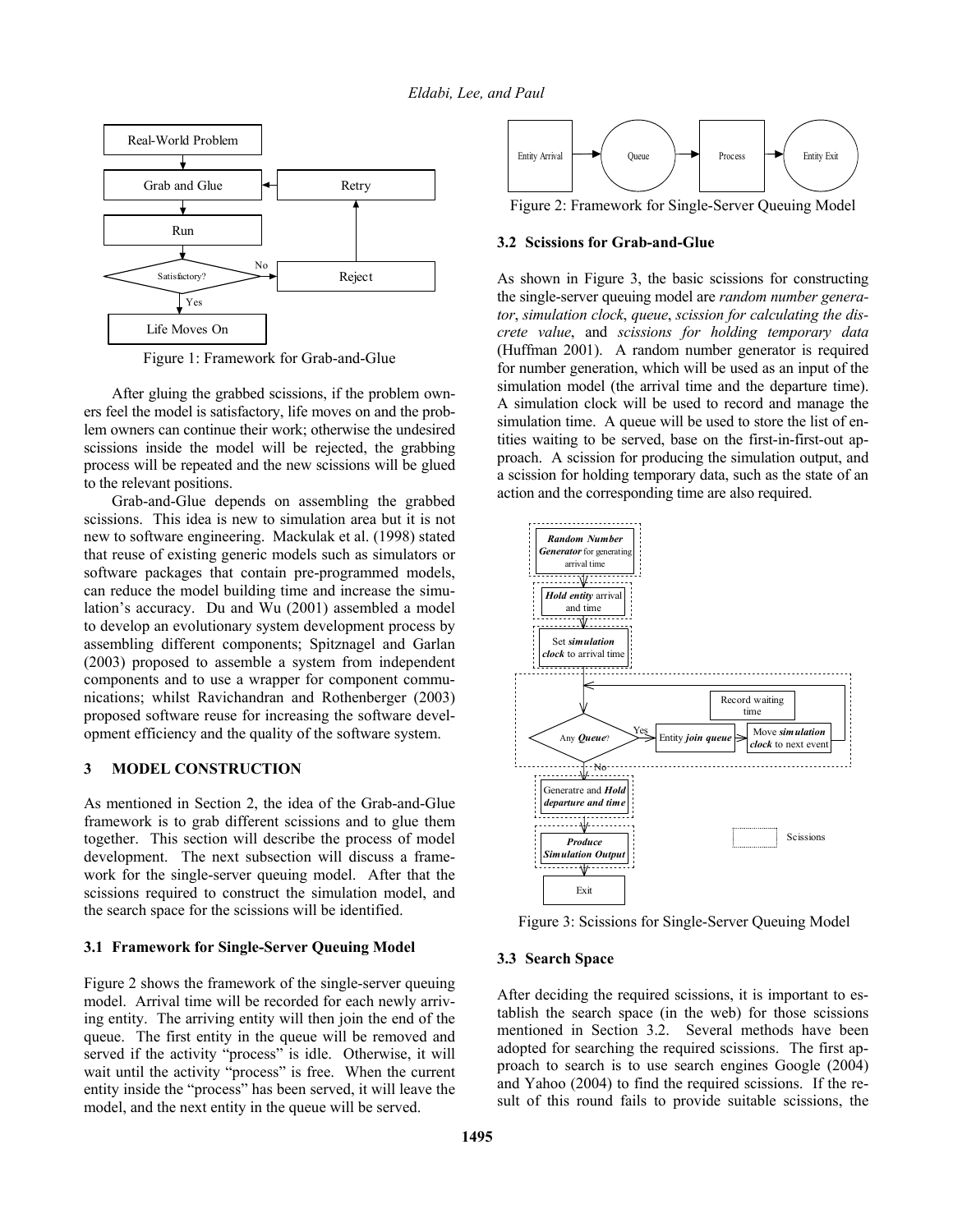

Figure 1: Framework for Grab-and-Glue

After gluing the grabbed scissions, if the problem owners feel the model is satisfactory, life moves on and the problem owners can continue their work; otherwise the undesired scissions inside the model will be rejected, the grabbing process will be repeated and the new scissions will be glued to the relevant positions.

Grab-and-Glue depends on assembling the grabbed scissions. This idea is new to simulation area but it is not new to software engineering. Mackulak et al. (1998) stated that reuse of existing generic models such as simulators or software packages that contain pre-programmed models, can reduce the model building time and increase the simulation's accuracy. Du and Wu (2001) assembled a model to develop an evolutionary system development process by assembling different components; Spitznagel and Garlan (2003) proposed to assemble a system from independent components and to use a wrapper for component communications; whilst Ravichandran and Rothenberger (2003) proposed software reuse for increasing the software development efficiency and the quality of the software system.

#### **3 MODEL CONSTRUCTION**

As mentioned in Section 2, the idea of the Grab-and-Glue framework is to grab different scissions and to glue them together. This section will describe the process of model development. The next subsection will discuss a framework for the single-server queuing model. After that the scissions required to construct the simulation model, and the search space for the scissions will be identified.

#### **3.1 Framework for Single-Server Queuing Model**

Figure 2 shows the framework of the single-server queuing model. Arrival time will be recorded for each newly arriving entity. The arriving entity will then join the end of the queue. The first entity in the queue will be removed and served if the activity "process" is idle. Otherwise, it will wait until the activity "process" is free. When the current entity inside the "process" has been served, it will leave the model, and the next entity in the queue will be served.



Figure 2: Framework for Single-Server Queuing Model

#### **3.2 Scissions for Grab-and-Glue**

As shown in Figure 3, the basic scissions for constructing the single-server queuing model are *random number generator*, *simulation clock*, *queue*, *scission for calculating the discrete value*, and *scissions for holding temporary data* (Huffman 2001). A random number generator is required for number generation, which will be used as an input of the simulation model (the arrival time and the departure time). A simulation clock will be used to record and manage the simulation time. A queue will be used to store the list of entities waiting to be served, base on the first-in-first-out approach. A scission for producing the simulation output, and a scission for holding temporary data, such as the state of an action and the corresponding time are also required.



Figure 3: Scissions for Single-Server Queuing Model

#### **3.3 Search Space**

After deciding the required scissions, it is important to establish the search space (in the web) for those scissions mentioned in Section 3.2. Several methods have been adopted for searching the required scissions. The first approach to search is to use search engines Google (2004) and Yahoo (2004) to find the required scissions. If the result of this round fails to provide suitable scissions, the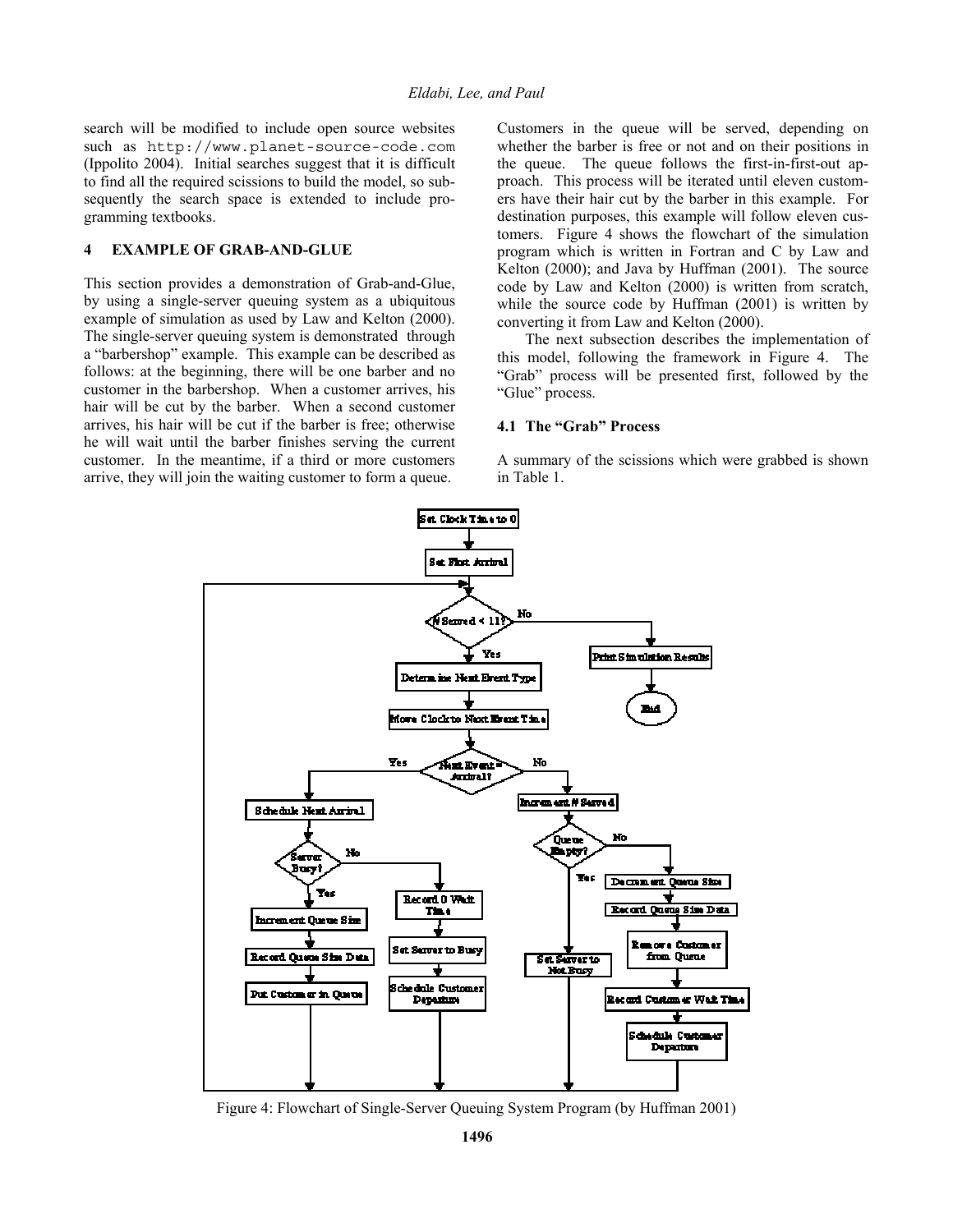search will be modified to include open source websites such as http://www.planet-source-code.com (Ippolito 2004). Initial searches suggest that it is difficult to find all the required scissions to build the model, so subsequently the search space is extended to include programming textbooks.

## **4 EXAMPLE OF GRAB-AND-GLUE**

This section provides a demonstration of Grab-and-Glue, by using a single-server queuing system as a ubiquitous example of simulation as used by Law and Kelton (2000). The single-server queuing system is demonstrated through a "barbershop" example. This example can be described as follows: at the beginning, there will be one barber and no customer in the barbershop. When a customer arrives, his hair will be cut by the barber. When a second customer arrives, his hair will be cut if the barber is free; otherwise he will wait until the barber finishes serving the current customer. In the meantime, if a third or more customers arrive, they will join the waiting customer to form a queue.

Customers in the queue will be served, depending on whether the barber is free or not and on their positions in the queue. The queue follows the first-in-first-out approach. This process will be iterated until eleven customers have their hair cut by the barber in this example. For destination purposes, this example will follow eleven customers. Figure 4 shows the flowchart of the simulation program which is written in Fortran and C by Law and Kelton (2000); and Java by Huffman (2001). The source code by Law and Kelton (2000) is written from scratch, while the source code by Huffman (2001) is written by converting it from Law and Kelton (2000).

The next subsection describes the implementation of this model, following the framework in Figure 4. The "Grab" process will be presented first, followed by the "Glue" process.

## **4.1 The "Grab" Process**

A summary of the scissions which were grabbed is shown in Table 1.



Figure 4: Flowchart of Single-Server Queuing System Program (by Huffman 2001)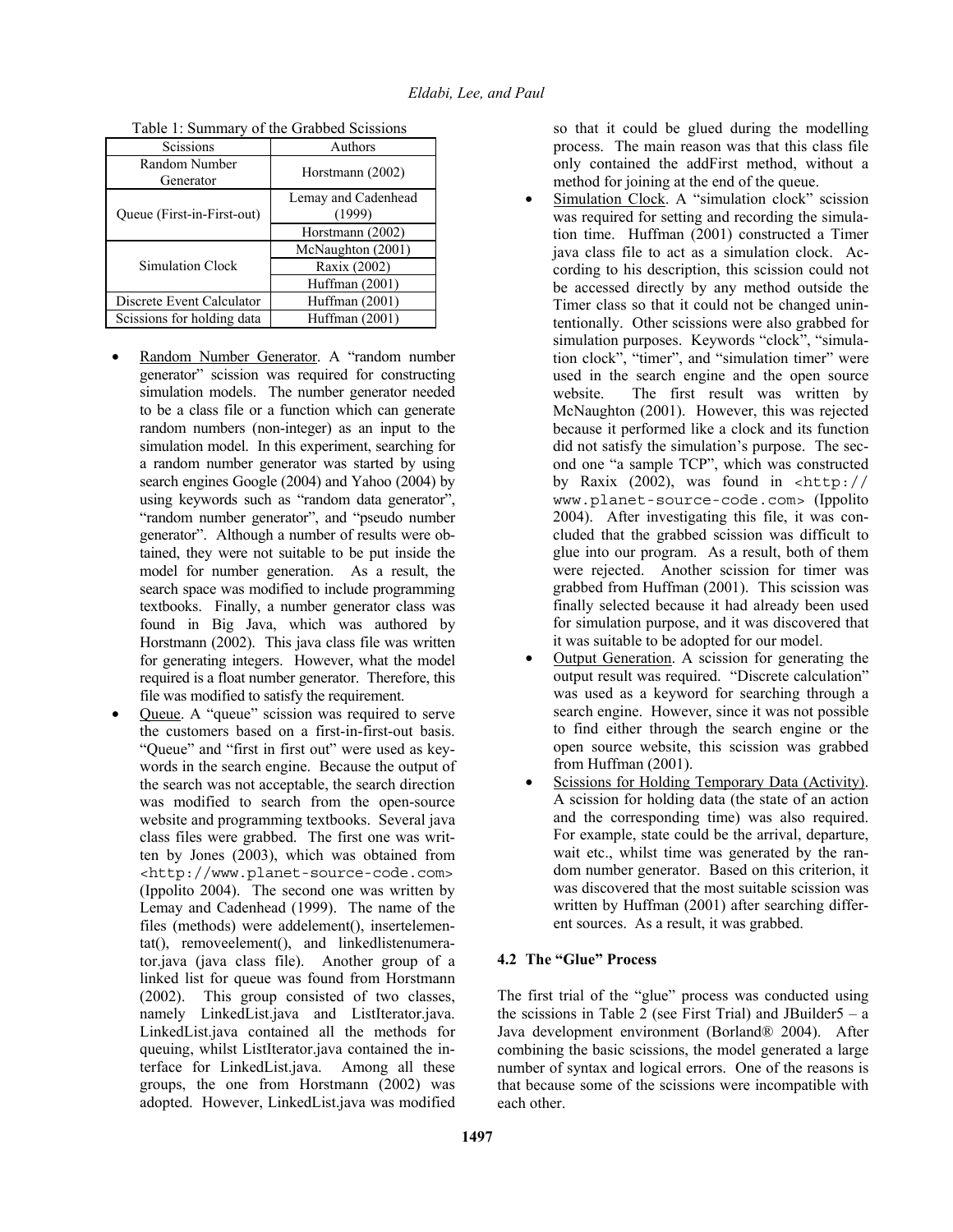| <b>Scissions</b>           | Authors                       |  |
|----------------------------|-------------------------------|--|
| Random Number<br>Generator | Horstmann (2002)              |  |
| Queue (First-in-First-out) | Lemay and Cadenhead<br>(1999) |  |
|                            | Horstmann (2002)              |  |
| Simulation Clock           | McNaughton (2001)             |  |
|                            | Raxix (2002)                  |  |
|                            | Huffman (2001)                |  |
| Discrete Event Calculator  | Huffman (2001)                |  |
| Scissions for holding data | Huffman (2001)                |  |

Table 1: Summary of the Grabbed Scissions

- Random Number Generator. A "random number generator" scission was required for constructing simulation models. The number generator needed to be a class file or a function which can generate random numbers (non-integer) as an input to the simulation model. In this experiment, searching for a random number generator was started by using search engines Google (2004) and Yahoo (2004) by using keywords such as "random data generator", "random number generator", and "pseudo number generator". Although a number of results were obtained, they were not suitable to be put inside the model for number generation. As a result, the search space was modified to include programming textbooks. Finally, a number generator class was found in Big Java, which was authored by Horstmann (2002). This java class file was written for generating integers. However, what the model required is a float number generator. Therefore, this file was modified to satisfy the requirement.
- Queue. A "queue" scission was required to serve the customers based on a first-in-first-out basis. "Queue" and "first in first out" were used as keywords in the search engine. Because the output of the search was not acceptable, the search direction was modified to search from the open-source website and programming textbooks. Several java class files were grabbed. The first one was written by Jones (2003), which was obtained from <http://www.planet-source-code.com> (Ippolito 2004). The second one was written by Lemay and Cadenhead (1999). The name of the files (methods) were addelement(), insertelementat(), removeelement(), and linkedlistenumerator.java (java class file). Another group of a linked list for queue was found from Horstmann (2002). This group consisted of two classes, namely LinkedList.java and ListIterator.java. LinkedList.java contained all the methods for queuing, whilst ListIterator.java contained the interface for LinkedList.java. Among all these groups, the one from Horstmann (2002) was adopted. However, LinkedList.java was modified

so that it could be glued during the modelling process. The main reason was that this class file only contained the addFirst method, without a method for joining at the end of the queue.

- Simulation Clock. A "simulation clock" scission was required for setting and recording the simulation time. Huffman (2001) constructed a Timer java class file to act as a simulation clock. According to his description, this scission could not be accessed directly by any method outside the Timer class so that it could not be changed unintentionally. Other scissions were also grabbed for simulation purposes. Keywords "clock", "simulation clock", "timer", and "simulation timer" were used in the search engine and the open source website. The first result was written by McNaughton (2001). However, this was rejected because it performed like a clock and its function did not satisfy the simulation's purpose. The second one "a sample TCP", which was constructed by Raxix (2002), was found in <http:// www.planet-source-code.com> (Ippolito 2004). After investigating this file, it was concluded that the grabbed scission was difficult to glue into our program. As a result, both of them were rejected. Another scission for timer was grabbed from Huffman (2001). This scission was finally selected because it had already been used for simulation purpose, and it was discovered that it was suitable to be adopted for our model.
- Output Generation. A scission for generating the output result was required. "Discrete calculation" was used as a keyword for searching through a search engine. However, since it was not possible to find either through the search engine or the open source website, this scission was grabbed from Huffman (2001).
- Scissions for Holding Temporary Data (Activity). A scission for holding data (the state of an action and the corresponding time) was also required. For example, state could be the arrival, departure, wait etc., whilst time was generated by the random number generator. Based on this criterion, it was discovered that the most suitable scission was written by Huffman (2001) after searching different sources. As a result, it was grabbed.

# **4.2 The "Glue" Process**

The first trial of the "glue" process was conducted using the scissions in Table 2 (see First Trial) and JBuilder $5 - a$ Java development environment (Borland® 2004). After combining the basic scissions, the model generated a large number of syntax and logical errors. One of the reasons is that because some of the scissions were incompatible with each other.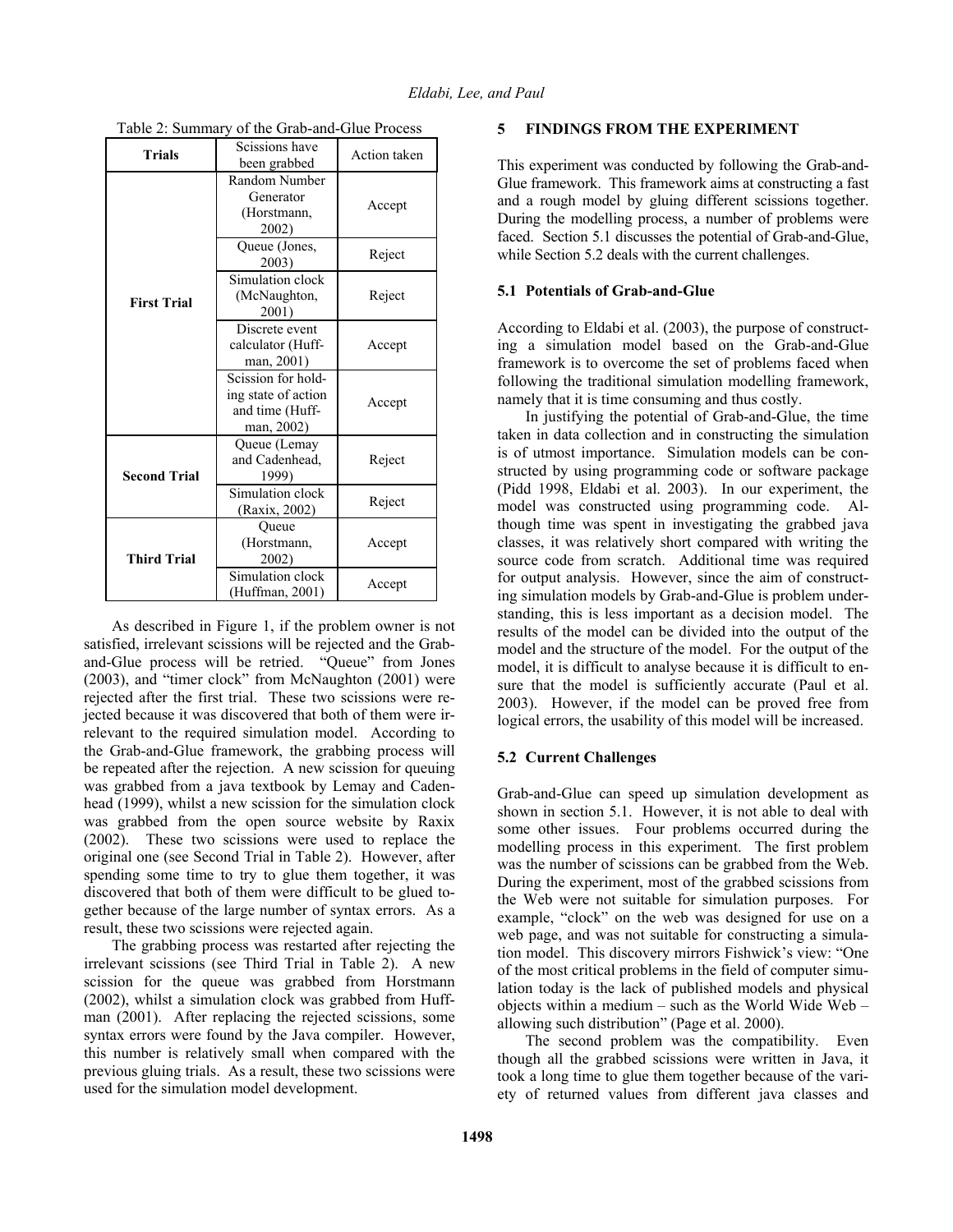| <b>Trials</b>       | Scissions have<br>been grabbed                                             | Action taken |
|---------------------|----------------------------------------------------------------------------|--------------|
| <b>First Trial</b>  | Random Number<br>Generator<br>(Horstmann,<br>2002)                         | Accept       |
|                     | Queue (Jones,<br>2003)                                                     | Reject       |
|                     | Simulation clock<br>(McNaughton,<br>2001)                                  | Reject       |
|                     | Discrete event<br>calculator (Huff-<br>man, 2001)                          | Accept       |
|                     | Scission for hold-<br>ing state of action<br>and time (Huff-<br>man, 2002) | Accept       |
| <b>Second Trial</b> | Queue (Lemay<br>and Cadenhead,<br>1999)                                    | Reject       |
|                     | Simulation clock<br>(Raxix, 2002)                                          | Reject       |
| <b>Third Trial</b>  | Oueue<br>(Horstmann,<br>2002)                                              | Accept       |
|                     | Simulation clock<br>(Huffman, 2001)                                        | Accept       |

Table 2: Summary of the Grab-and-Glue Process

As described in Figure 1, if the problem owner is not satisfied, irrelevant scissions will be rejected and the Graband-Glue process will be retried. "Queue" from Jones (2003), and "timer clock" from McNaughton (2001) were rejected after the first trial. These two scissions were rejected because it was discovered that both of them were irrelevant to the required simulation model. According to the Grab-and-Glue framework, the grabbing process will be repeated after the rejection. A new scission for queuing was grabbed from a java textbook by Lemay and Cadenhead (1999), whilst a new scission for the simulation clock was grabbed from the open source website by Raxix (2002). These two scissions were used to replace the original one (see Second Trial in Table 2). However, after spending some time to try to glue them together, it was discovered that both of them were difficult to be glued together because of the large number of syntax errors. As a result, these two scissions were rejected again.

The grabbing process was restarted after rejecting the irrelevant scissions (see Third Trial in Table 2). A new scission for the queue was grabbed from Horstmann (2002), whilst a simulation clock was grabbed from Huffman (2001). After replacing the rejected scissions, some syntax errors were found by the Java compiler. However, this number is relatively small when compared with the previous gluing trials. As a result, these two scissions were used for the simulation model development.

# **5 FINDINGS FROM THE EXPERIMENT**

This experiment was conducted by following the Grab-and-Glue framework. This framework aims at constructing a fast and a rough model by gluing different scissions together. During the modelling process, a number of problems were faced. Section 5.1 discusses the potential of Grab-and-Glue, while Section 5.2 deals with the current challenges.

## **5.1 Potentials of Grab-and-Glue**

According to Eldabi et al. (2003), the purpose of constructing a simulation model based on the Grab-and-Glue framework is to overcome the set of problems faced when following the traditional simulation modelling framework, namely that it is time consuming and thus costly.

In justifying the potential of Grab-and-Glue, the time taken in data collection and in constructing the simulation is of utmost importance. Simulation models can be constructed by using programming code or software package (Pidd 1998, Eldabi et al. 2003). In our experiment, the model was constructed using programming code. Although time was spent in investigating the grabbed java classes, it was relatively short compared with writing the source code from scratch. Additional time was required for output analysis. However, since the aim of constructing simulation models by Grab-and-Glue is problem understanding, this is less important as a decision model. The results of the model can be divided into the output of the model and the structure of the model. For the output of the model, it is difficult to analyse because it is difficult to ensure that the model is sufficiently accurate (Paul et al. 2003). However, if the model can be proved free from logical errors, the usability of this model will be increased.

# **5.2 Current Challenges**

Grab-and-Glue can speed up simulation development as shown in section 5.1. However, it is not able to deal with some other issues. Four problems occurred during the modelling process in this experiment. The first problem was the number of scissions can be grabbed from the Web. During the experiment, most of the grabbed scissions from the Web were not suitable for simulation purposes. For example, "clock" on the web was designed for use on a web page, and was not suitable for constructing a simulation model. This discovery mirrors Fishwick's view: "One of the most critical problems in the field of computer simulation today is the lack of published models and physical objects within a medium – such as the World Wide Web – allowing such distribution" (Page et al. 2000).

The second problem was the compatibility. Even though all the grabbed scissions were written in Java, it took a long time to glue them together because of the variety of returned values from different java classes and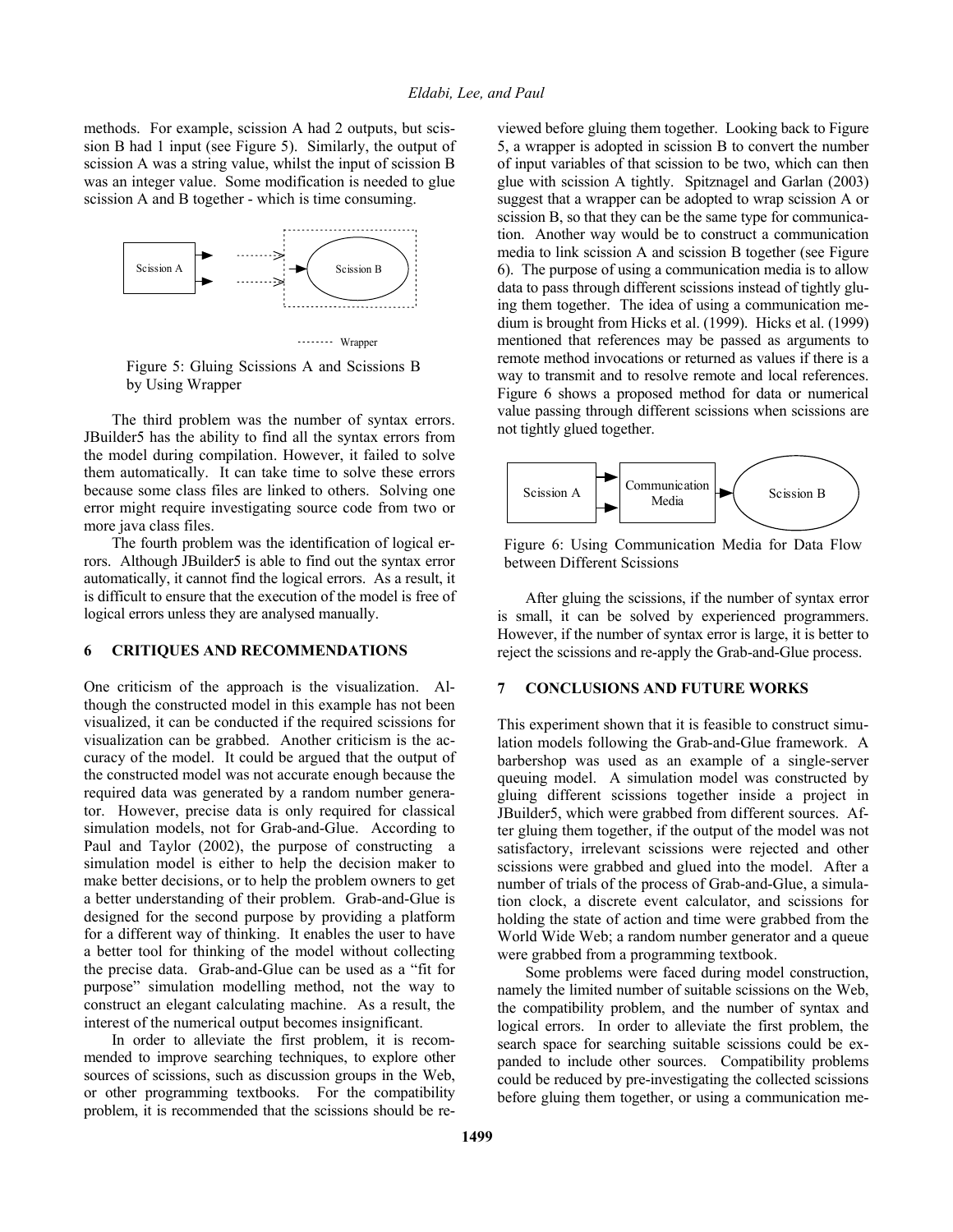methods. For example, scission A had 2 outputs, but scission B had 1 input (see Figure 5). Similarly, the output of scission A was a string value, whilst the input of scission B was an integer value. Some modification is needed to glue scission A and B together - which is time consuming.



Figure 5: Gluing Scissions A and Scissions B by Using Wrapper

The third problem was the number of syntax errors. JBuilder5 has the ability to find all the syntax errors from the model during compilation. However, it failed to solve them automatically. It can take time to solve these errors because some class files are linked to others. Solving one error might require investigating source code from two or more java class files.

The fourth problem was the identification of logical errors. Although JBuilder5 is able to find out the syntax error automatically, it cannot find the logical errors. As a result, it is difficult to ensure that the execution of the model is free of logical errors unless they are analysed manually.

## **6 CRITIQUES AND RECOMMENDATIONS**

One criticism of the approach is the visualization. Although the constructed model in this example has not been visualized, it can be conducted if the required scissions for visualization can be grabbed. Another criticism is the accuracy of the model. It could be argued that the output of the constructed model was not accurate enough because the required data was generated by a random number generator. However, precise data is only required for classical simulation models, not for Grab-and-Glue. According to Paul and Taylor (2002), the purpose of constructing a simulation model is either to help the decision maker to make better decisions, or to help the problem owners to get a better understanding of their problem. Grab-and-Glue is designed for the second purpose by providing a platform for a different way of thinking. It enables the user to have a better tool for thinking of the model without collecting the precise data. Grab-and-Glue can be used as a "fit for purpose" simulation modelling method, not the way to construct an elegant calculating machine. As a result, the interest of the numerical output becomes insignificant.

In order to alleviate the first problem, it is recommended to improve searching techniques, to explore other sources of scissions, such as discussion groups in the Web, or other programming textbooks. For the compatibility problem, it is recommended that the scissions should be reviewed before gluing them together. Looking back to Figure 5, a wrapper is adopted in scission B to convert the number of input variables of that scission to be two, which can then glue with scission A tightly. Spitznagel and Garlan (2003) suggest that a wrapper can be adopted to wrap scission A or scission B, so that they can be the same type for communication. Another way would be to construct a communication media to link scission A and scission B together (see Figure 6). The purpose of using a communication media is to allow data to pass through different scissions instead of tightly gluing them together. The idea of using a communication medium is brought from Hicks et al. (1999). Hicks et al. (1999) mentioned that references may be passed as arguments to remote method invocations or returned as values if there is a way to transmit and to resolve remote and local references. Figure 6 shows a proposed method for data or numerical value passing through different scissions when scissions are not tightly glued together.



Figure 6: Using Communication Media for Data Flow between Different Scissions

After gluing the scissions, if the number of syntax error is small, it can be solved by experienced programmers. However, if the number of syntax error is large, it is better to reject the scissions and re-apply the Grab-and-Glue process.

## **7 CONCLUSIONS AND FUTURE WORKS**

This experiment shown that it is feasible to construct simulation models following the Grab-and-Glue framework. A barbershop was used as an example of a single-server queuing model. A simulation model was constructed by gluing different scissions together inside a project in JBuilder5, which were grabbed from different sources. After gluing them together, if the output of the model was not satisfactory, irrelevant scissions were rejected and other scissions were grabbed and glued into the model. After a number of trials of the process of Grab-and-Glue, a simulation clock, a discrete event calculator, and scissions for holding the state of action and time were grabbed from the World Wide Web; a random number generator and a queue were grabbed from a programming textbook.

Some problems were faced during model construction, namely the limited number of suitable scissions on the Web, the compatibility problem, and the number of syntax and logical errors. In order to alleviate the first problem, the search space for searching suitable scissions could be expanded to include other sources. Compatibility problems could be reduced by pre-investigating the collected scissions before gluing them together, or using a communication me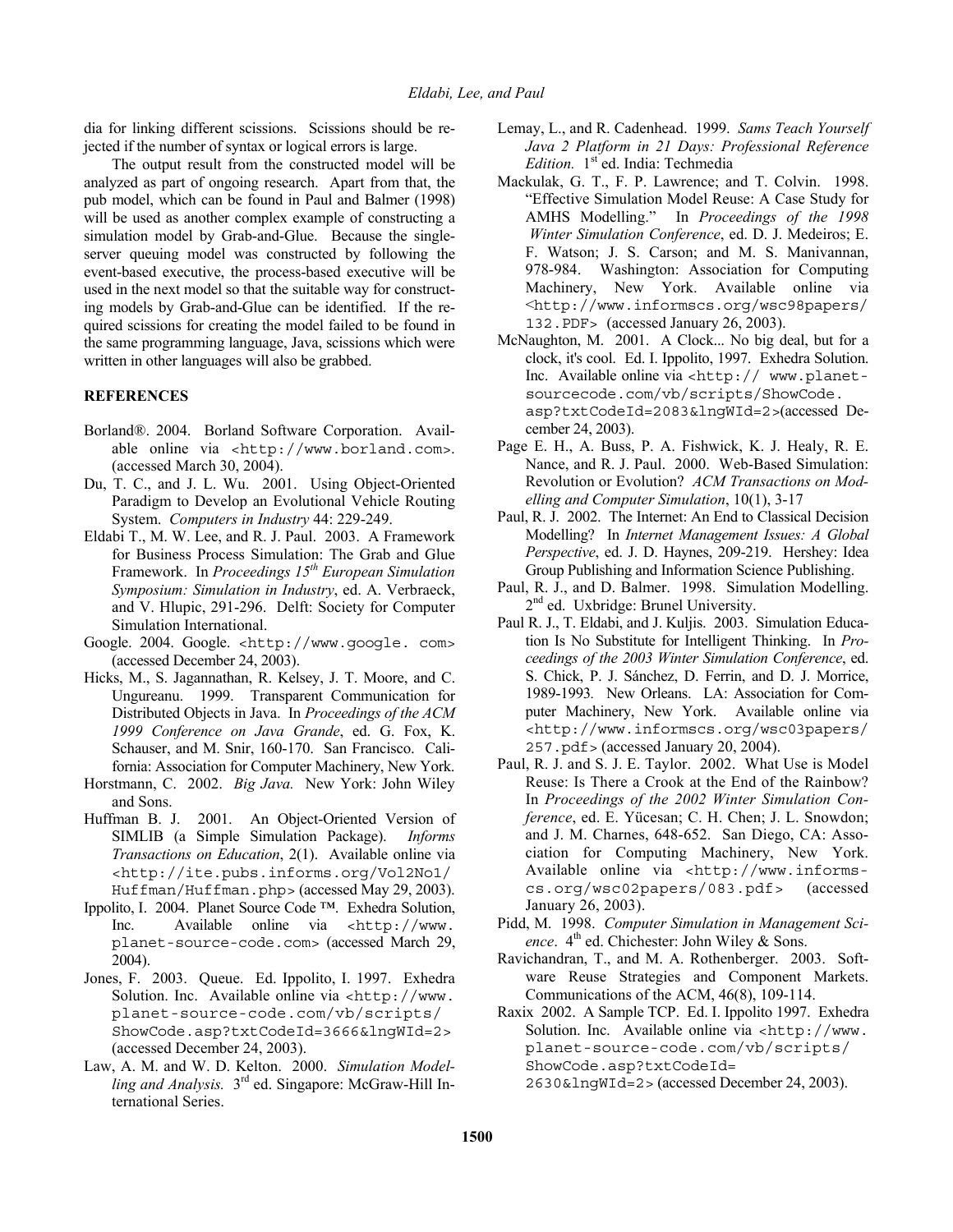dia for linking different scissions. Scissions should be rejected if the number of syntax or logical errors is large.

The output result from the constructed model will be analyzed as part of ongoing research. Apart from that, the pub model, which can be found in Paul and Balmer (1998) will be used as another complex example of constructing a simulation model by Grab-and-Glue. Because the singleserver queuing model was constructed by following the event-based executive, the process-based executive will be used in the next model so that the suitable way for constructing models by Grab-and-Glue can be identified. If the required scissions for creating the model failed to be found in the same programming language, Java, scissions which were written in other languages will also be grabbed.

# **REFERENCES**

- Borland®. 2004. Borland Software Corporation. Available online via <http://www.borland.com>. (accessed March 30, 2004).
- Du, T. C., and J. L. Wu. 2001. Using Object-Oriented Paradigm to Develop an Evolutional Vehicle Routing System. *Computers in Industry* 44: 229-249.
- Eldabi T., M. W. Lee, and R. J. Paul. 2003. A Framework for Business Process Simulation: The Grab and Glue Framework. In *Proceedings 15th European Simulation Symposium: Simulation in Industry*, ed. A. Verbraeck, and V. Hlupic, 291-296. Delft: Society for Computer Simulation International.
- Google. 2004. Google. <http://www.google. com> (accessed December 24, 2003).
- Hicks, M., S. Jagannathan, R. Kelsey, J. T. Moore, and C. Ungureanu. 1999. Transparent Communication for Distributed Objects in Java. In *Proceedings of the ACM 1999 Conference on Java Grande*, ed. G. Fox, K. Schauser, and M. Snir, 160-170. San Francisco. California: Association for Computer Machinery, New York.
- Horstmann, C. 2002. *Big Java.* New York: John Wiley and Sons.
- Huffman B. J. 2001. An Object-Oriented Version of SIMLIB (a Simple Simulation Package). *Informs Transactions on Education*, 2(1). Available online via <http://ite.pubs.informs.org/Vol2No1/ Huffman/Huffman.php> (accessed May 29, 2003).
- Ippolito, I. 2004. Planet Source Code ™. Exhedra Solution, Inc. Available online via <http://www. planet-source-code.com> (accessed March 29, 2004).
- Jones, F. 2003. Queue. Ed. Ippolito, I. 1997. Exhedra Solution. Inc. Available online via <http://www. planet-source-code.com/vb/scripts/ ShowCode.asp?txtCodeId=3666&lngWId=2> (accessed December 24, 2003).
- Law, A. M. and W. D. Kelton. 2000. *Simulation Modelling and Analysis.* 3rd ed. Singapore: McGraw-Hill International Series.
- Lemay, L., and R. Cadenhead. 1999. *Sams Teach Yourself Java 2 Platform in 21 Days: Professional Reference Edition.* 1<sup>st</sup> ed. India: Techmedia
- Mackulak, G. T., F. P. Lawrence; and T. Colvin. 1998. "Effective Simulation Model Reuse: A Case Study for AMHS Modelling." In *Proceedings of the 1998 Winter Simulation Conference*, ed. D. J. Medeiros; E. F. Watson; J. S. Carson; and M. S. Manivannan, 978-984. Washington: Association for Computing Machinery, New York. Available online via <http://www.informscs.org/wsc98papers/ 132.PDF> (accessed January 26, 2003).
- McNaughton, M. 2001. A Clock... No big deal, but for a clock, it's cool. Ed. I. Ippolito, 1997. Exhedra Solution. Inc. Available online via <http:// www.planetsourcecode.com/vb/scripts/ShowCode. asp?txtCodeId=2083&lngWId=2>(accessed December 24, 2003).
- Page E. H., A. Buss, P. A. Fishwick, K. J. Healy, R. E. Nance, and R. J. Paul. 2000. Web-Based Simulation: Revolution or Evolution? *ACM Transactions on Modelling and Computer Simulation*, 10(1), 3-17
- Paul, R. J. 2002. The Internet: An End to Classical Decision Modelling? In *Internet Management Issues: A Global Perspective*, ed. J. D. Haynes, 209-219. Hershey: Idea Group Publishing and Information Science Publishing.
- Paul, R. J., and D. Balmer. 1998. Simulation Modelling. 2<sup>nd</sup> ed. Uxbridge: Brunel University.
- Paul R. J., T. Eldabi, and J. Kuljis. 2003. Simulation Education Is No Substitute for Intelligent Thinking. In *Proceedings of the 2003 Winter Simulation Conference*, ed. S. Chick, P. J. Sánchez, D. Ferrin, and D. J. Morrice, 1989-1993*.* New Orleans. LA: Association for Computer Machinery, New York. Available online via <http://www.informscs.org/wsc03papers/ 257.pdf> (accessed January 20, 2004).
- Paul, R. J. and S. J. E. Taylor. 2002. What Use is Model Reuse: Is There a Crook at the End of the Rainbow? In *Proceedings of the 2002 Winter Simulation Conference*, ed. E. Yücesan; C. H. Chen; J. L. Snowdon; and J. M. Charnes, 648-652. San Diego, CA: Association for Computing Machinery, New York. Available online via <http://www.informscs.org/wsc02papers/083.pdf> (accessed January 26, 2003).
- Pidd, M. 1998. *Computer Simulation in Management Sci*ence. 4<sup>th</sup> ed. Chichester: John Wiley & Sons.
- Ravichandran, T., and M. A. Rothenberger. 2003. Software Reuse Strategies and Component Markets. Communications of the ACM, 46(8), 109-114.
- Raxix 2002. A Sample TCP. Ed. I. Ippolito 1997. Exhedra Solution. Inc. Available online via <http://www. planet-source-code.com/vb/scripts/ ShowCode.asp?txtCodeId= 2630&lngWId=2> (accessed December 24, 2003).